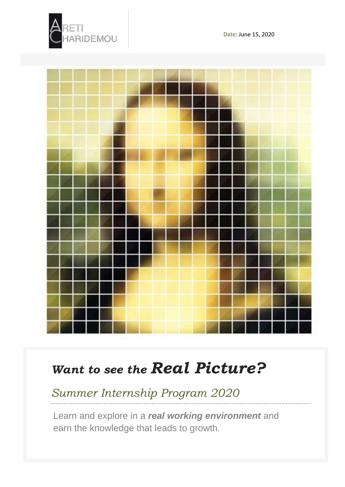



## *Want to see the Real Picture?*

*Summer Internship Program 2020*

Learn and explore in a *real working environment* and earn the knowledge that leads to growth.